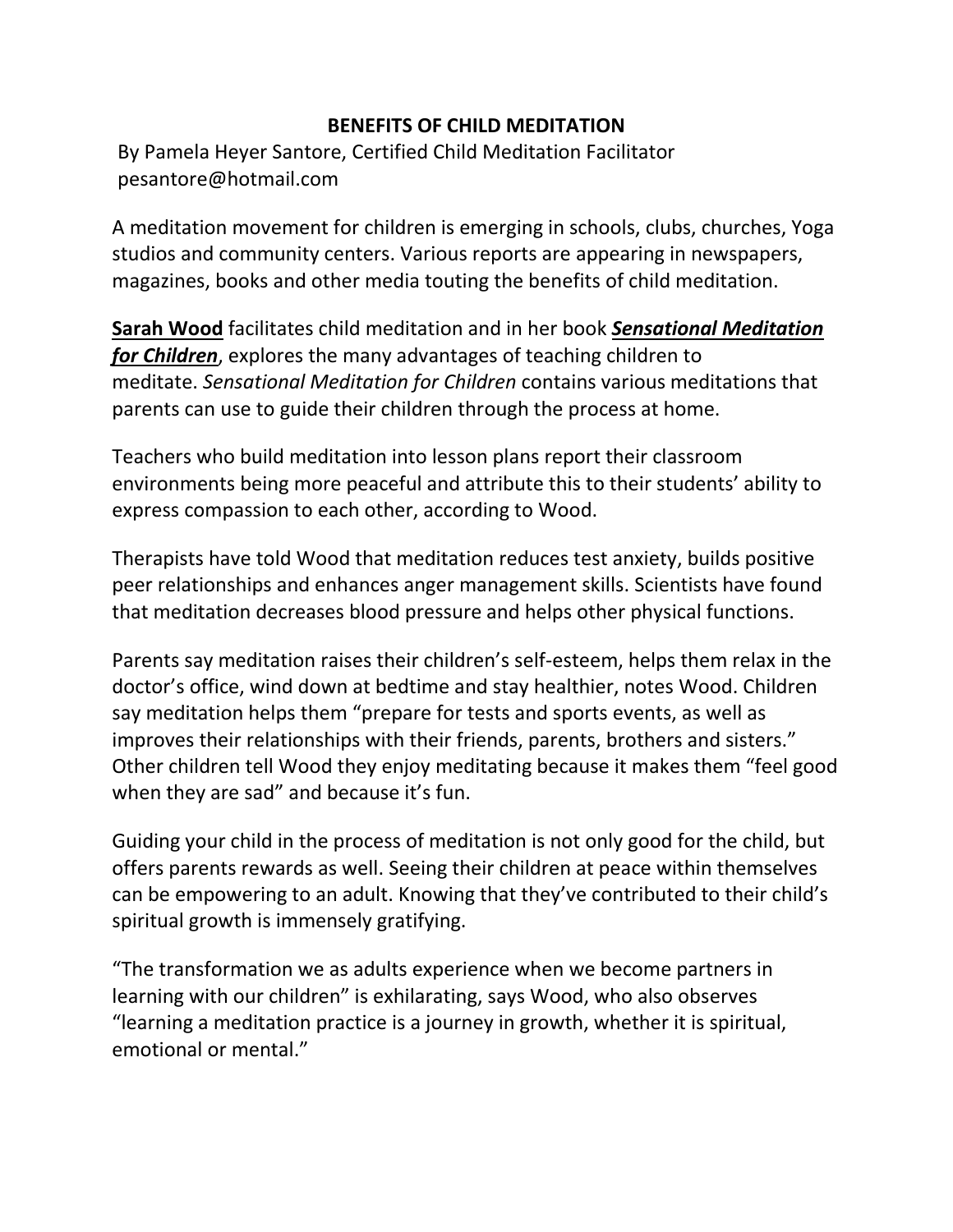## **BENEFITS OF CHILD MEDITATION**

By Pamela Heyer Santore, Certified Child Meditation Facilitator pesantore@hotmail.com

A meditation movement for children is emerging in schools, clubs, churches, Yoga studios and community centers. Various reports are appearing in newspapers, magazines, books and other media touting the benefits of child meditation.

**[Sarah Wood](http://sarahwood.com/)** facilitates child meditation and in her book *[Sensational Meditation](http://sarahwood.com/Book.htm)  [for Children](http://sarahwood.com/Book.htm)*, explores the many advantages of teaching children to meditate. *Sensational Meditation for Children* contains various meditations that parents can use to guide their children through the process at home.

Teachers who build meditation into lesson plans report their classroom environments being more peaceful and attribute this to their students' ability to express compassion to each other, according to Wood.

Therapists have told Wood that meditation reduces test anxiety, builds positive peer relationships and enhances anger management skills. Scientists have found that meditation decreases blood pressure and helps other physical functions.

Parents say meditation raises their children's self-esteem, helps them relax in the doctor's office, wind down at bedtime and stay healthier, notes Wood. Children say meditation helps them "prepare for tests and sports events, as well as improves their relationships with their friends, parents, brothers and sisters." Other children tell Wood they enjoy meditating because it makes them "feel good when they are sad" and because it's fun.

Guiding your child in the process of meditation is not only good for the child, but offers parents rewards as well. Seeing their children at peace within themselves can be empowering to an adult. Knowing that they've contributed to their child's spiritual growth is immensely gratifying.

"The transformation we as adults experience when we become partners in learning with our children" is exhilarating, says Wood, who also observes "learning a meditation practice is a journey in growth, whether it is spiritual, emotional or mental."